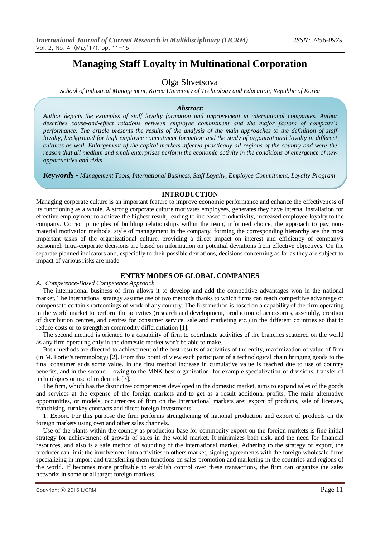# **Managing Staff Loyalty in Multinational Corporation**

# Olga Shvetsova

*School of Industrial Management, Korea University of Technology and Education, Republic of Korea*

# *Abstract:*

*Author depicts the examples of staff loyalty formation and improvement in international companies. Author describes cause-and-effect relations between employee commitment and the major factors of company's performance. The article presents the results of the analysis of the main approaches to the definition of staff loyalty, background for high employee commitment formation and the study of organizational loyalty in different cultures as well. Enlargement of the capital markets affected practically all regions of the country and were the reason that all medium and small enterprises perform the economic activity in the conditions of emergence of new opportunities and risks*

*Keywords - Management Tools, International Business, Staff Loyalty, Employee Commitment, Loyalty Program*

# **INTRODUCTION**

Managing corporate culture is an important feature to improve economic performance and enhance the effectiveness of its functioning as a whole. A strong corporate culture motivates employees, generates they have internal installation for effective employment to achieve the highest result, leading to increased productivity, increased employee loyalty to the company. Correct principles of building relationships within the team, informed choice, the approach to pay nonmaterial motivation methods, style of management in the company, forming the corresponding hierarchy are the most important tasks of the organizational culture, providing a direct impact on interest and efficiency of company's personnel. Intra-corporate decisions are based on information on potential deviations from effective objectives. On the separate planned indicators and, especially to their possible deviations, decisions concerning as far as they are subject to impact of various risks are made.

# **ENTRY MODES OF GLOBAL COMPANIES**

#### *A. Competence-Based Competence Approach*

The international business of firm allows it to develop and add the competitive advantages won in the national market. The international strategy assume use of two methods thanks to which firms can reach competitive advantage or compensate certain shortcomings of work of any country. The first method is based on a capability of the firm operating in the world market to perform the activities (research and development, production of accessories, assembly, creation of distribution centres, and centres for consumer service, sale and marketing etc.) in the different countries so that to reduce costs or to strengthen commodity differentiation [1].

The second method is oriented to a capability of firm to coordinate activities of the branches scattered on the world as any firm operating only in the domestic market won't be able to make.

Both methods are directed to achievement of the best results of activities of the entity, maximization of value of firm (in M. Porter's terminology) [2]. From this point of view each participant of a technological chain bringing goods to the final consumer adds some value. In the first method increase in cumulative value is reached due to use of country benefits, and in the second – owing to the MNK best organization, for example specialization of divisions, transfer of technologies or use of trademark [3].

The firm, which has the distinctive competences developed in the domestic market, aims to expand sales of the goods and services at the expense of the foreign markets and to get as a result additional profits. The main alternative opportunities, or models, occurrences of firm on the international markets are: export of products, sale of licenses, franchising, turnkey contracts and direct foreign investments.

1. Export. For this purpose the firm performs strengthening of national production and export of products on the foreign markets using own and other sales channels.

Use of the plants within the country as production base for commodity export on the foreign markets is fine initial strategy for achievement of growth of sales in the world market. It minimizes both risk, and the need for financial resources, and also is a safe method of sounding of the international market. Adhering to the strategy of export, the producer can limit the involvement into activities in others market, signing agreements with the foreign wholesale firms specializing in import and transferring them functions on sales promotion and marketing in the countries and regions of the world. If becomes more profitable to establish control over these transactions, the firm can organize the sales networks in some or all target foreign markets.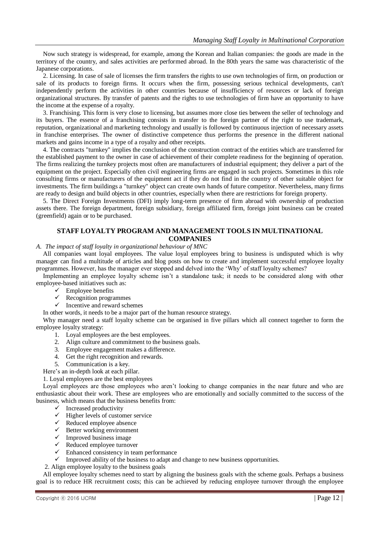Now such strategy is widespread, for example, among the Korean and Italian companies: the goods are made in the territory of the country, and sales activities are performed abroad. In the 80th years the same was characteristic of the Japanese corporations.

2. Licensing. In case of sale of licenses the firm transfers the rights to use own technologies of firm, on production or sale of its products to foreign firms. It occurs when the firm, possessing serious technical developments, can't independently perform the activities in other countries because of insufficiency of resources or lack of foreign organizational structures. By transfer of patents and the rights to use technologies of firm have an opportunity to have the income at the expense of a royalty.

3. Franchising. This form is very close to licensing, but assumes more close ties between the seller of technology and its buyers. The essence of a franchising consists in transfer to the foreign partner of the right to use trademark, reputation, organizational and marketing technology and usually is followed by continuous injection of necessary assets in franchise enterprises. The owner of distinctive competence thus performs the presence in the different national markets and gains income in a type of a royalty and other receipts.

4. The contracts "turnkey" implies the conclusion of the construction contract of the entities which are transferred for the established payment to the owner in case of achievement of their complete readiness for the beginning of operation. The firms realizing the turnkey projects most often are manufacturers of industrial equipment; they deliver a part of the equipment on the project. Especially often civil engineering firms are engaged in such projects. Sometimes in this role consulting firms or manufacturers of the equipment act if they do not find in the country of other suitable object for investments. The firm buildings a "turnkey" object can create own hands of future competitor. Nevertheless, many firms are ready to design and build objects in other countries, especially when there are restrictions for foreign property.

5. The Direct Foreign Investments (DFI) imply long-term presence of firm abroad with ownership of production assets there. The foreign department, foreign subsidiary, foreign affiliated firm, foreign joint business can be created (greenfield) again or to be purchased.

# **STAFF LOYALTY PROGRAM AND MANAGEMENT TOOLS IN MULTINATIONAL COMPANIES**

*A. The impact of staff loyalty in organizational behaviour of MNC*

All companies want loyal employees. The value loyal employees bring to business is undisputed which is why manager can find a multitude of articles and blog posts on how to create and implement successful employee loyalty programmes. However, has the manager ever stopped and delved into the 'Why' of staff loyalty schemes?

Implementing an employee loyalty scheme isn't a standalone task; it needs to be considered along with other employee-based initiatives such as:

- $\checkmark$  Employee benefits
- $\checkmark$  Recognition programmes
- $\checkmark$  Incentive and reward schemes
- In other words, it needs to be a major part of the human resource strategy.

Why manager need a staff loyalty scheme can be organised in five pillars which all connect together to form the employee loyalty strategy:

- 1. Loyal employees are the best employees.
- 2. Align culture and commitment to the business goals.
- 3. Employee engagement makes a difference.
- 4. Get the right recognition and rewards.
- 5. Communication is a key.

Here's an in-depth look at each pillar.

1. Loyal employees are the best employees

Loyal employees are those employees who aren't looking to change companies in the near future and who are enthusiastic about their work. These are employees who are emotionally and socially committed to the success of the business, which means that the business benefits from:

- $\checkmark$  Increased productivity
- $\checkmark$  Higher levels of customer service
- $\checkmark$  Reduced employee absence
- $\checkmark$  Better working environment
- $\checkmark$  Improved business image
- Reduced employee turnover
- $\checkmark$  Enhanced consistency in team performance
- $\checkmark$  Improved ability of the business to adapt and change to new business opportunities.
- 2. Align employee loyalty to the business goals

All employee loyalty schemes need to start by aligning the business goals with the scheme goals. Perhaps a business goal is to reduce HR recruitment costs; this can be achieved by reducing employee turnover through the employee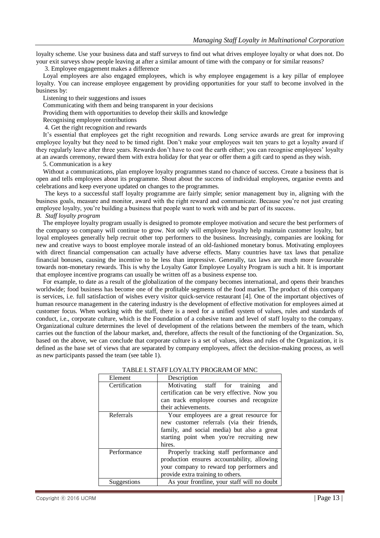loyalty scheme. Use your business data and staff surveys to find out what drives employee loyalty or what does not. Do your exit surveys show people leaving at after a similar amount of time with the company or for similar reasons?

3. Employee engagement makes a difference

Loyal employees are also engaged employees, which is why employee engagement is a key pillar of employee loyalty. You can increase employee engagement by providing opportunities for your staff to become involved in the business by:

Listening to their suggestions and issues

Communicating with them and being transparent in your decisions

Providing them with opportunities to develop their skills and knowledge

Recognising employee contributions

4. Get the right recognition and rewards

It's essential that employees get the right recognition and rewards. Long service awards are great for improving employee loyalty but they need to be timed right. Don't make your employees wait ten years to get a loyalty award if they regularly leave after three years. Rewards don't have to cost the earth either; you can recognise employees' loyalty at an awards ceremony, reward them with extra holiday for that year or offer them a gift card to spend as they wish.

5. Communication is a key

Without a communications, plan employee loyalty programmes stand no chance of success. Create a business that is open and tells employees about its programme. Shout about the success of individual employees, organise events and celebrations and keep everyone updated on changes to the programmes.

The keys to a successful staff loyalty programme are fairly simple; senior management buy in, aligning with the business goals, measure and monitor, award with the right reward and communicate. Because you're not just creating employee loyalty, you're building a business that people want to work with and be part of its success.

# *B. Staff loyalty program*

The employee loyalty program usually is designed to promote employee motivation and secure the best performers of the company so company will continue to grow. Not only will employee loyalty help maintain customer loyalty, but loyal employees generally help recruit other top performers to the business. Increasingly, companies are looking for new and creative ways to boost employee morale instead of an old-fashioned monetary bonus. Motivating employees with direct financial compensation can actually have adverse effects. Many countries have tax laws that penalize financial bonuses, causing the incentive to be less than impressive. Generally, tax laws are much more favourable towards non-monetary rewards. This is why the Loyalty Gator Employee Loyalty Program is such a hit. It is important that employee incentive programs can usually be written off as a business expense too.

For example, to date as a result of the globalization of the company becomes international, and opens their branches worldwide; food business has become one of the profitable segments of the food market. The product of this company is services, i.e. full satisfaction of wishes every visitor quick-service restaurant [4]. One of the important objectives of human resource management in the catering industry is the development of effective motivation for employees aimed at customer focus. When working with the staff, there is a need for a unified system of values, rules and standards of conduct, i.e., corporate culture, which is the Foundation of a cohesive team and level of staff loyalty to the company. Organizational culture determines the level of development of the relations between the members of the team, which carries out the function of the labour market, and, therefore, affects the result of the functioning of the Organization. So, based on the above, we can conclude that corporate culture is a set of values, ideas and rules of the Organization, it is defined as the base set of views that are separated by company employees, affect the decision-making process, as well as new participants passed the team (see table 1).

| Element       | Description                                                                                                                                                                                |
|---------------|--------------------------------------------------------------------------------------------------------------------------------------------------------------------------------------------|
| Certification | Motivating staff for training<br>and<br>certification can be very effective. Now you<br>can track employee courses and recognize<br>their achievements.                                    |
| Referrals     | Your employees are a great resource for<br>new customer referrals (via their friends,<br>family, and social media) but also a great<br>starting point when you're recruiting new<br>hires. |
| Performance   | Properly tracking staff performance and<br>production ensures accountability, allowing<br>your company to reward top performers and<br>provide extra training to others.                   |
| Suggestions   | As your frontline, your staff will no doubt                                                                                                                                                |

#### TABLE I. STAFF LOYALTY PROGRAM OF MNC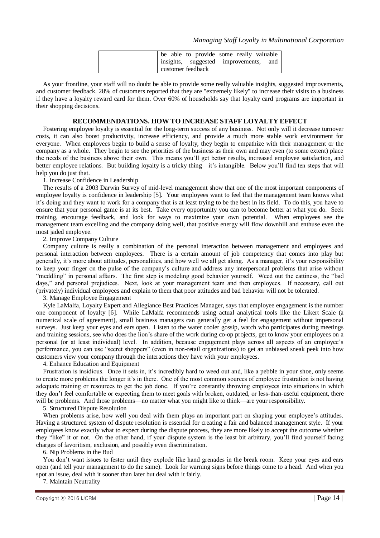|                   | be able to provide some really valuable |
|-------------------|-----------------------------------------|
|                   | insights, suggested improvements, and   |
| customer feedback |                                         |

As your frontline, your staff will no doubt be able to provide some really valuable insights, suggested improvements, and customer feedback. 28% of customers reported that they are "extremely likely" to increase their visits to a business if they have a loyalty reward card for them. Over 60% of households say that loyalty card programs are important in their shopping decisions.

# **RECOMMENDATIONS. HOW TO INCREASE STAFF LOYALTY EFFECT**

Fostering employee loyalty is essential for the long-term success of any business. Not only will it decrease turnover costs, it can also boost productivity, increase efficiency, and provide a much more stable work environment for everyone. When employees begin to build a sense of loyalty, they begin to empathize with their management or the company as a whole. They begin to see the priorities of the business as their own and may even (to some extent) place the needs of the business above their own. This means you'll get better results, increased employee satisfaction, and better employee relations. But building loyalty is a tricky thing—it's intangible. Below you'll find ten steps that will help you do just that.

#### 1. Increase Confidence in Leadership

The results of a 2003 Darwin Survey of mid-level management show that one of the most important components of employee loyalty is confidence in leadership [5]. Your employees want to feel that the management team knows what it's doing and they want to work for a company that is at least trying to be the best in its field. To do this, you have to ensure that your personal game is at its best. Take every opportunity you can to become better at what you do. Seek training, encourage feedback, and look for ways to maximize your own potential. When employees see the management team excelling and the company doing well, that positive energy will flow downhill and enthuse even the most jaded employee.

2. Improve Company Culture

Company culture is really a combination of the personal interaction between management and employees and personal interaction between employees. There is a certain amount of job competency that comes into play but generally, it's more about attitudes, personalities, and how well we all get along. As a manager, it's your responsibility to keep your finger on the pulse of the company's culture and address any interpersonal problems that arise without "meddling" in personal affairs. The first step is modeling good behavior yourself. Weed out the cattiness, the "bad days," and personal prejudices. Next, look at your management team and then employees. If necessary, call out (privately) individual employees and explain to them that poor attitudes and bad behavior will not be tolerated.

3. Manage Employee Engagement

Kyle LaMalfa, Loyalty Expert and Allegiance Best Practices Manager, says that employee engagement is the number one component of loyalty [6]. While LaMalfa recommends using actual analytical tools like the Likert Scale (a numerical scale of agreement), small business managers can generally get a feel for engagement without impersonal surveys. Just keep your eyes and ears open. Listen to the water cooler gossip, watch who participates during meetings and training sessions, see who does the lion's share of the work during co-op projects, get to know your employees on a personal (or at least individual) level. In addition, because engagement plays across all aspects of an employee's performance, you can use "secret shoppers" (even in non-retail organizations) to get an unbiased sneak peek into how customers view your company through the interactions they have with your employees.

4. Enhance Education and Equipment

Frustration is insidious. Once it sets in, it's incredibly hard to weed out and, like a pebble in your shoe, only seems to create more problems the longer it's in there. One of the most common sources of employee frustration is not having adequate training or resources to get the job done. If you're constantly throwing employees into situations in which they don't feel comfortable or expecting them to meet goals with broken, outdated, or less-than-useful equipment, there will be problems. And those problems—no matter what you might like to think—are your responsibility.

5. Structured Dispute Resolution

When problems arise, how well you deal with them plays an important part on shaping your employee's attitudes. Having a structured system of dispute resolution is essential for creating a fair and balanced management style. If your employees know exactly what to expect during the dispute process, they are more likely to accept the outcome whether they "like" it or not. On the other hand, if your dispute system is the least bit arbitrary, you'll find yourself facing charges of favoritism, exclusion, and possibly even discrimination.

6. Nip Problems in the Bud

You don't want issues to fester until they explode like hand grenades in the break room. Keep your eyes and ears open (and tell your management to do the same). Look for warning signs before things come to a head. And when you spot an issue, deal with it sooner than later but deal with it fairly.

7. Maintain Neutrality